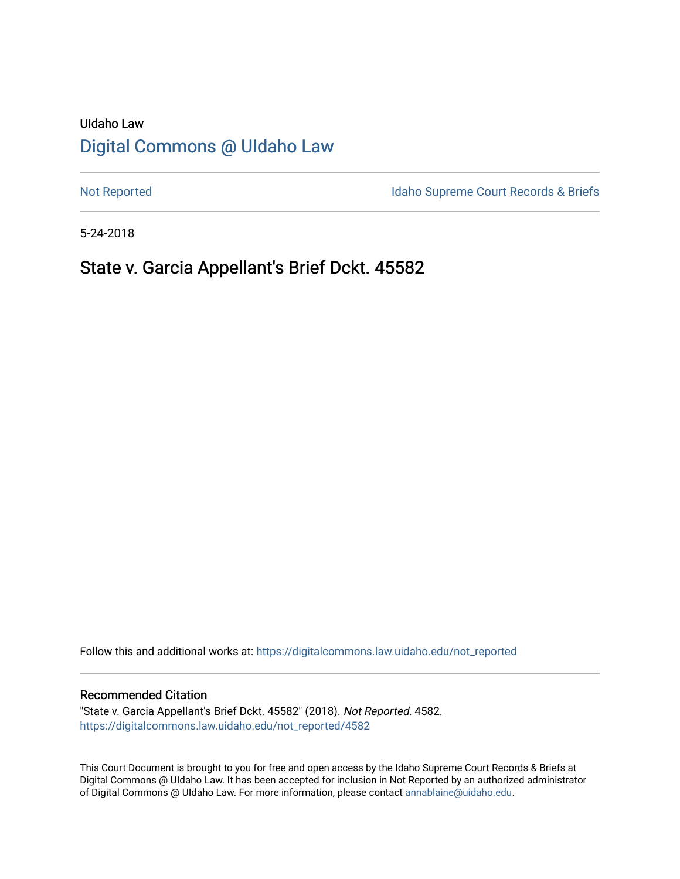# UIdaho Law [Digital Commons @ UIdaho Law](https://digitalcommons.law.uidaho.edu/)

[Not Reported](https://digitalcommons.law.uidaho.edu/not_reported) **Idaho Supreme Court Records & Briefs** 

5-24-2018

# State v. Garcia Appellant's Brief Dckt. 45582

Follow this and additional works at: [https://digitalcommons.law.uidaho.edu/not\\_reported](https://digitalcommons.law.uidaho.edu/not_reported?utm_source=digitalcommons.law.uidaho.edu%2Fnot_reported%2F4582&utm_medium=PDF&utm_campaign=PDFCoverPages) 

### Recommended Citation

"State v. Garcia Appellant's Brief Dckt. 45582" (2018). Not Reported. 4582. [https://digitalcommons.law.uidaho.edu/not\\_reported/4582](https://digitalcommons.law.uidaho.edu/not_reported/4582?utm_source=digitalcommons.law.uidaho.edu%2Fnot_reported%2F4582&utm_medium=PDF&utm_campaign=PDFCoverPages)

This Court Document is brought to you for free and open access by the Idaho Supreme Court Records & Briefs at Digital Commons @ UIdaho Law. It has been accepted for inclusion in Not Reported by an authorized administrator of Digital Commons @ UIdaho Law. For more information, please contact [annablaine@uidaho.edu](mailto:annablaine@uidaho.edu).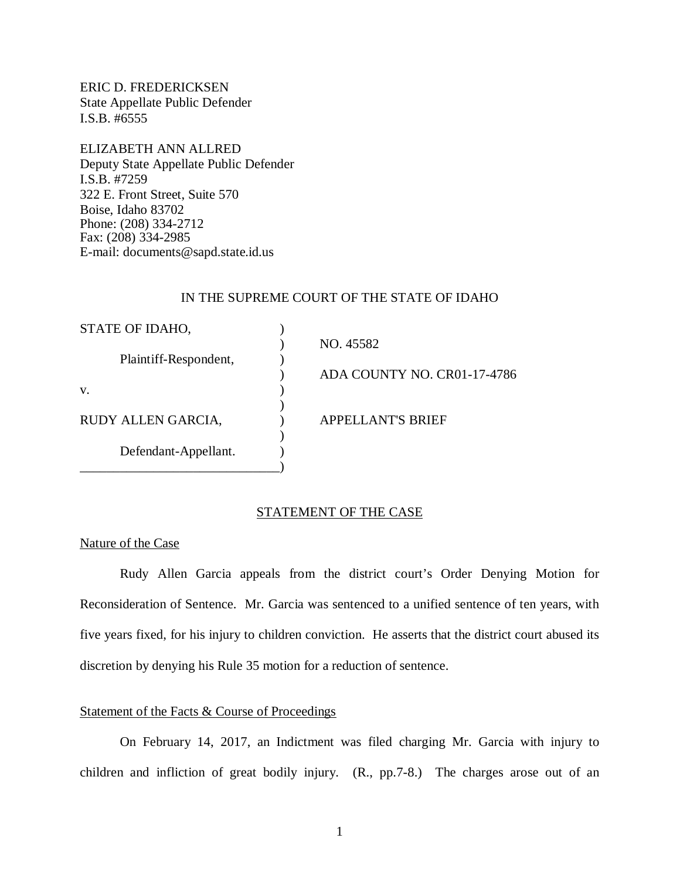ERIC D. FREDERICKSEN State Appellate Public Defender I.S.B. #6555

ELIZABETH ANN ALLRED Deputy State Appellate Public Defender I.S.B. #7259 322 E. Front Street, Suite 570 Boise, Idaho 83702 Phone: (208) 334-2712 Fax: (208) 334-2985 E-mail: documents@sapd.state.id.us

#### IN THE SUPREME COURT OF THE STATE OF IDAHO

| STATE OF IDAHO,       |                             |
|-----------------------|-----------------------------|
|                       | NO. 45582                   |
| Plaintiff-Respondent, |                             |
|                       | ADA COUNTY NO. CR01-17-4786 |
| V.                    |                             |
|                       |                             |
| RUDY ALLEN GARCIA,    | <b>APPELLANT'S BRIEF</b>    |
|                       |                             |
| Defendant-Appellant.  |                             |
|                       |                             |

## STATEMENT OF THE CASE

Nature of the Case

Rudy Allen Garcia appeals from the district court's Order Denying Motion for Reconsideration of Sentence. Mr. Garcia was sentenced to a unified sentence of ten years, with five years fixed, for his injury to children conviction. He asserts that the district court abused its discretion by denying his Rule 35 motion for a reduction of sentence.

### Statement of the Facts & Course of Proceedings

On February 14, 2017, an Indictment was filed charging Mr. Garcia with injury to children and infliction of great bodily injury. (R., pp.7-8.) The charges arose out of an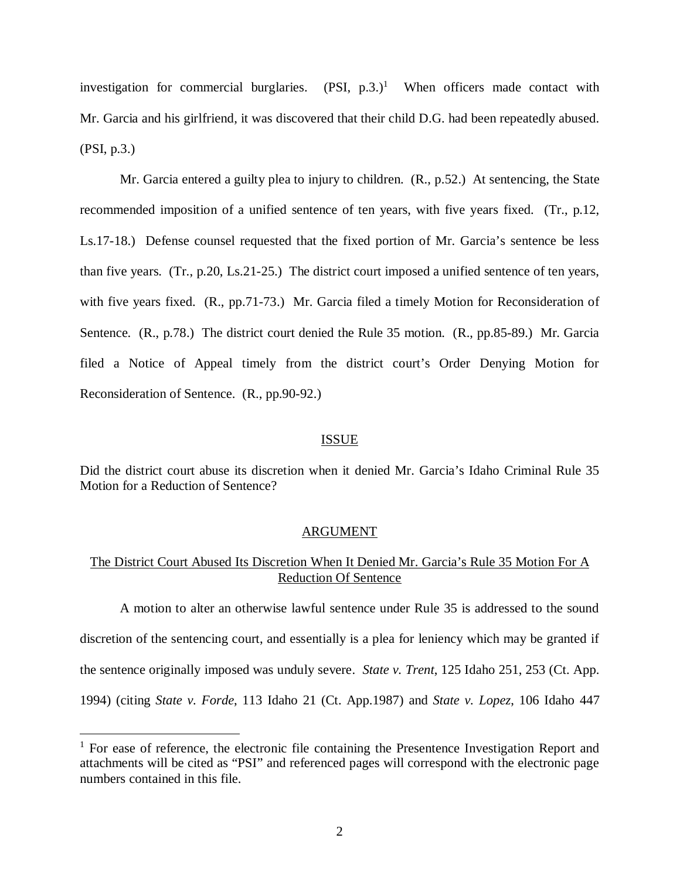investigation for commercial burglaries.  $(PSI, p.3.)<sup>1</sup>$  $(PSI, p.3.)<sup>1</sup>$  $(PSI, p.3.)<sup>1</sup>$  When officers made contact with Mr. Garcia and his girlfriend, it was discovered that their child D.G. had been repeatedly abused. (PSI, p.3.)

Mr. Garcia entered a guilty plea to injury to children. (R., p.52.) At sentencing, the State recommended imposition of a unified sentence of ten years, with five years fixed. (Tr., p.12, Ls.17-18.) Defense counsel requested that the fixed portion of Mr. Garcia's sentence be less than five years. (Tr., p.20, Ls.21-25.) The district court imposed a unified sentence of ten years, with five years fixed. (R., pp.71-73.) Mr. Garcia filed a timely Motion for Reconsideration of Sentence. (R., p.78.) The district court denied the Rule 35 motion. (R., pp.85-89.) Mr. Garcia filed a Notice of Appeal timely from the district court's Order Denying Motion for Reconsideration of Sentence. (R., pp.90-92.)

#### ISSUE

Did the district court abuse its discretion when it denied Mr. Garcia's Idaho Criminal Rule 35 Motion for a Reduction of Sentence?

#### ARGUMENT

# The District Court Abused Its Discretion When It Denied Mr. Garcia's Rule 35 Motion For A Reduction Of Sentence

A motion to alter an otherwise lawful sentence under Rule 35 is addressed to the sound discretion of the sentencing court, and essentially is a plea for leniency which may be granted if the sentence originally imposed was unduly severe. *State v. Trent*, 125 Idaho 251, 253 (Ct. App. 1994) (citing *State v. Forde*, 113 Idaho 21 (Ct. App.1987) and *State v. Lopez*, 106 Idaho 447

<span id="page-2-0"></span><sup>&</sup>lt;sup>1</sup> For ease of reference, the electronic file containing the Presentence Investigation Report and attachments will be cited as "PSI" and referenced pages will correspond with the electronic page numbers contained in this file.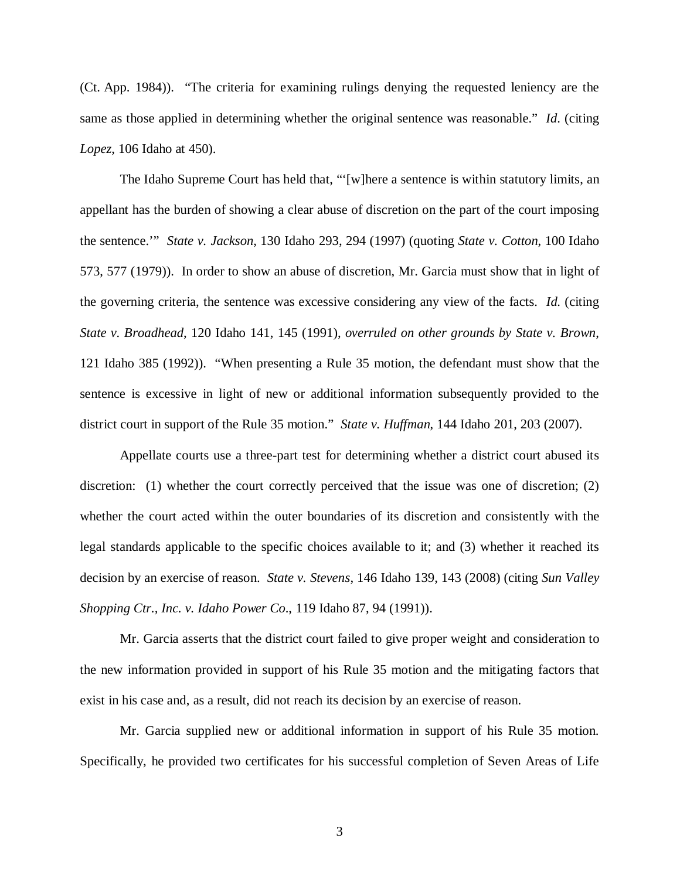(Ct. App. 1984)). "The criteria for examining rulings denying the requested leniency are the same as those applied in determining whether the original sentence was reasonable." *Id*. (citing *Lopez*, 106 Idaho at 450).

The Idaho Supreme Court has held that, "'[w]here a sentence is within statutory limits, an appellant has the burden of showing a clear abuse of discretion on the part of the court imposing the sentence.'" *State v. Jackson*, 130 Idaho 293, 294 (1997) (quoting *State v. Cotton*, 100 Idaho 573, 577 (1979)). In order to show an abuse of discretion, Mr. Garcia must show that in light of the governing criteria, the sentence was excessive considering any view of the facts. *Id*. (citing *State v. Broadhead*, 120 Idaho 141, 145 (1991), *overruled on other grounds by State v. Brown*, 121 Idaho 385 (1992)). "When presenting a Rule 35 motion, the defendant must show that the sentence is excessive in light of new or additional information subsequently provided to the district court in support of the Rule 35 motion." *State v. Huffman*, 144 Idaho 201, 203 (2007).

Appellate courts use a three-part test for determining whether a district court abused its discretion: (1) whether the court correctly perceived that the issue was one of discretion; (2) whether the court acted within the outer boundaries of its discretion and consistently with the legal standards applicable to the specific choices available to it; and (3) whether it reached its decision by an exercise of reason. *State v. Stevens*, 146 Idaho 139, 143 (2008) (citing *[Sun Valley](https://a.next.westlaw.com/Link/Document/FullText?findType=Y&serNum=1991020453&pubNum=661&originatingDoc=Ib1fc665a58e011ddbc7bf97f340af743&refType=RP&fi=co_pp_sp_661_1000&originationContext=document&transitionType=DocumentItem&contextData=(sc.Folder*cid.e4ef799cd44b4f4184ec493464b042f9*oc.Search)#co_pp_sp_661_1000) [Shopping Ctr., Inc. v. Idaho Power Co](https://a.next.westlaw.com/Link/Document/FullText?findType=Y&serNum=1991020453&pubNum=661&originatingDoc=Ib1fc665a58e011ddbc7bf97f340af743&refType=RP&fi=co_pp_sp_661_1000&originationContext=document&transitionType=DocumentItem&contextData=(sc.Folder*cid.e4ef799cd44b4f4184ec493464b042f9*oc.Search)#co_pp_sp_661_1000)*., 119 Idaho 87, 94 (1991)).

Mr. Garcia asserts that the district court failed to give proper weight and consideration to the new information provided in support of his Rule 35 motion and the mitigating factors that exist in his case and, as a result, did not reach its decision by an exercise of reason.

Mr. Garcia supplied new or additional information in support of his Rule 35 motion. Specifically, he provided two certificates for his successful completion of Seven Areas of Life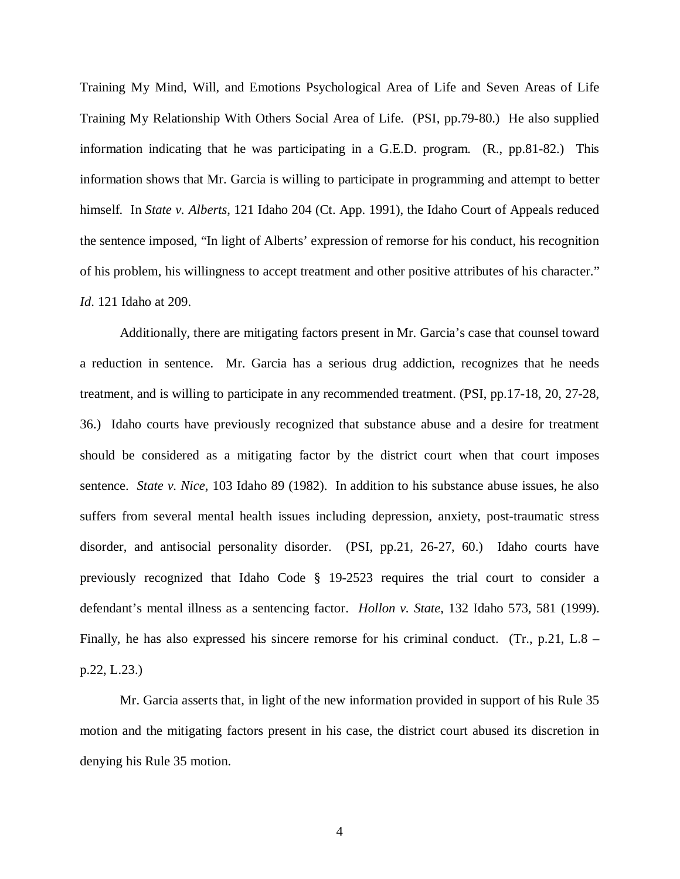Training My Mind, Will, and Emotions Psychological Area of Life and Seven Areas of Life Training My Relationship With Others Social Area of Life. (PSI, pp.79-80.) He also supplied information indicating that he was participating in a G.E.D. program. (R., pp.81-82.) This information shows that Mr. Garcia is willing to participate in programming and attempt to better himself. In *State v. Alberts*, 121 Idaho 204 (Ct. App. 1991), the Idaho Court of Appeals reduced the sentence imposed, "In light of Alberts' expression of remorse for his conduct, his recognition of his problem, his willingness to accept treatment and other positive attributes of his character." *Id*. 121 Idaho at 209.

Additionally, there are mitigating factors present in Mr. Garcia's case that counsel toward a reduction in sentence. Mr. Garcia has a serious drug addiction, recognizes that he needs treatment, and is willing to participate in any recommended treatment. (PSI, pp.17-18, 20, 27-28, 36.) Idaho courts have previously recognized that substance abuse and a desire for treatment should be considered as a mitigating factor by the district court when that court imposes sentence. *State v. Nice*, 103 Idaho 89 (1982). In addition to his substance abuse issues, he also suffers from several mental health issues including depression, anxiety, post-traumatic stress disorder, and antisocial personality disorder. (PSI, pp.21, 26-27, 60.) Idaho courts have previously recognized that Idaho Code § 19-2523 requires the trial court to consider a defendant's mental illness as a sentencing factor. *Hollon v. State*, 132 Idaho 573, 581 (1999). Finally, he has also expressed his sincere remorse for his criminal conduct. (Tr., p.21, L.8 – p.22, L.23.)

Mr. Garcia asserts that, in light of the new information provided in support of his Rule 35 motion and the mitigating factors present in his case, the district court abused its discretion in denying his Rule 35 motion.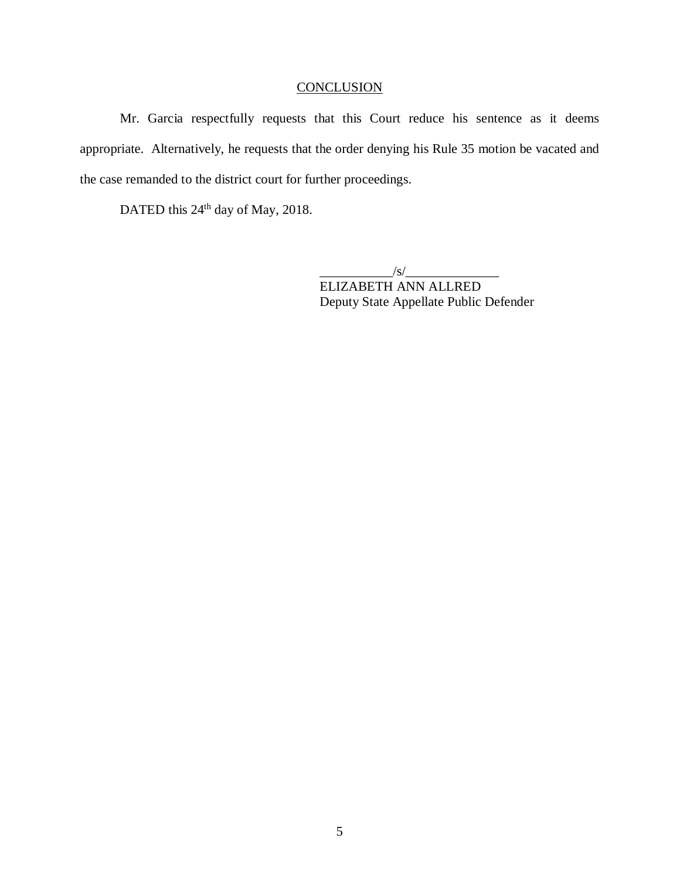# **CONCLUSION**

Mr. Garcia respectfully requests that this Court reduce his sentence as it deems appropriate. Alternatively, he requests that the order denying his Rule 35 motion be vacated and the case remanded to the district court for further proceedings.

DATED this 24<sup>th</sup> day of May, 2018.

 $\frac{1}{s}$ ELIZABETH ANN ALLRED Deputy State Appellate Public Defender